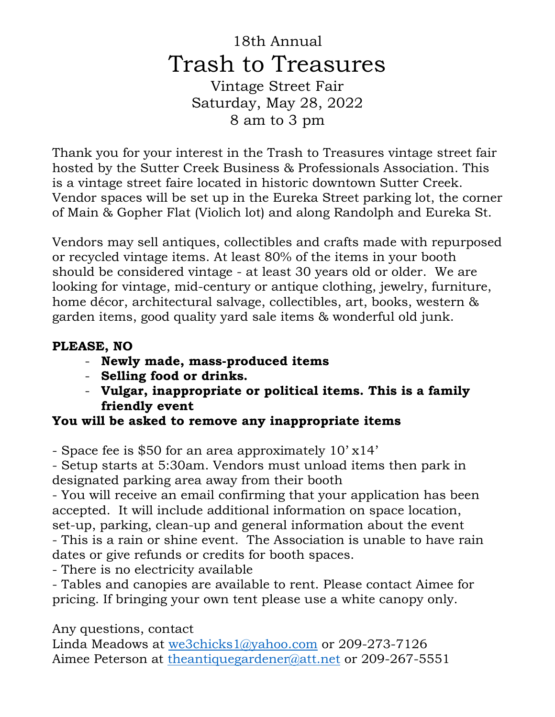## 18th Annual Trash to Treasures Vintage Street Fair Saturday, May 28, 2022

8 am to 3 pm

Thank you for your interest in the Trash to Treasures vintage street fair hosted by the Sutter Creek Business & Professionals Association. This is a vintage street faire located in historic downtown Sutter Creek. Vendor spaces will be set up in the Eureka Street parking lot, the corner of Main & Gopher Flat (Violich lot) and along Randolph and Eureka St.

Vendors may sell antiques, collectibles and crafts made with repurposed or recycled vintage items. At least 80% of the items in your booth should be considered vintage - at least 30 years old or older. We are looking for vintage, mid-century or antique clothing, jewelry, furniture, home décor, architectural salvage, collectibles, art, books, western & garden items, good quality yard sale items & wonderful old junk.

## **PLEASE, NO**

- **Newly made, mass-produced items**
- **Selling food or drinks.**
- **Vulgar, inappropriate or political items. This is a family friendly event**

## **You will be asked to remove any inappropriate items**

- Space fee is \$50 for an area approximately 10' x14'

- Setup starts at 5:30am. Vendors must unload items then park in designated parking area away from their booth

- You will receive an email confirming that your application has been accepted. It will include additional information on space location, set-up, parking, clean-up and general information about the event

- This is a rain or shine event. The Association is unable to have rain dates or give refunds or credits for booth spaces.

- There is no electricity available

- Tables and canopies are available to rent. Please contact Aimee for pricing. If bringing your own tent please use a white canopy only.

Any questions, contact

Linda Meadows at [we3chicks1@yahoo.com](mailto:we3chicks1@yahoo.com) or 209-273-7126 Aimee Peterson at [theantiquegardener@att.net](mailto:theantiquegardener@att.net) or 209-267-5551